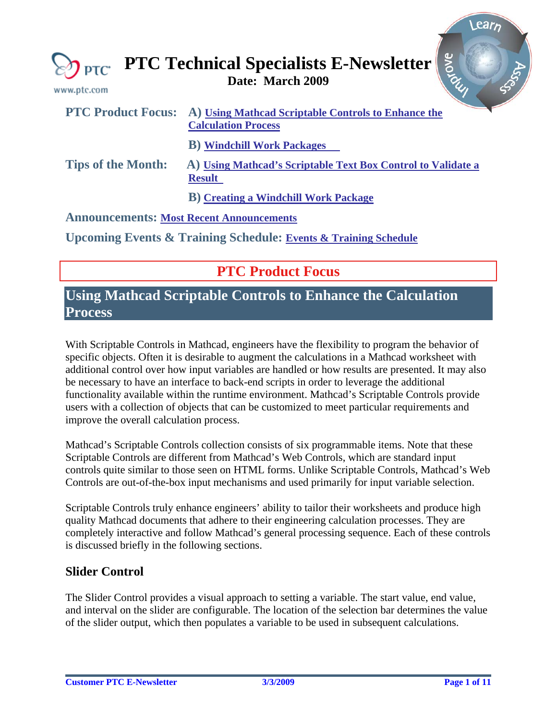<span id="page-0-0"></span>

| $PTC^*$<br>www.ptc.com                          | avove<br><b>PTC Technical Specialists E-Newsletter</b>                                                      |
|-------------------------------------------------|-------------------------------------------------------------------------------------------------------------|
|                                                 | <b>PTC Product Focus:</b> A) Using Mathcad Scriptable Controls to Enhance the<br><b>Calculation Process</b> |
|                                                 | <b>B</b> ) Windchill Work Packages                                                                          |
| <b>Tips of the Month:</b>                       | A) Using Mathcad's Scriptable Text Box Control to Validate a<br><b>Result</b>                               |
|                                                 | <b>B</b> ) Creating a Windchill Work Package                                                                |
| <b>Announcements: Most Recent Announcements</b> |                                                                                                             |
|                                                 | <b>Upcoming Events &amp; Training Schedule: Events &amp; Training Schedule</b>                              |

# **PTC Product Focus**

## **Using Mathcad Scriptable Controls to Enhance the Calculation Process**

With Scriptable Controls in Mathcad, engineers have the flexibility to program the behavior of specific objects. Often it is desirable to augment the calculations in a Mathcad worksheet with additional control over how input variables are handled or how results are presented. It may also be necessary to have an interface to back-end scripts in order to leverage the additional functionality available within the runtime environment. Mathcad's Scriptable Controls provide users with a collection of objects that can be customized to meet particular requirements and improve the overall calculation process.

Mathcad's Scriptable Controls collection consists of six programmable items. Note that these Scriptable Controls are different from Mathcad's Web Controls, which are standard input controls quite similar to those seen on HTML forms. Unlike Scriptable Controls, Mathcad's Web Controls are out-of-the-box input mechanisms and used primarily for input variable selection.

Scriptable Controls truly enhance engineers' ability to tailor their worksheets and produce high quality Mathcad documents that adhere to their engineering calculation processes. They are completely interactive and follow Mathcad's general processing sequence. Each of these controls is discussed briefly in the following sections.

### **Slider Control**

The Slider Control provides a visual approach to setting a variable. The start value, end value, and interval on the slider are configurable. The location of the selection bar determines the value of the slider output, which then populates a variable to be used in subsequent calculations.

ear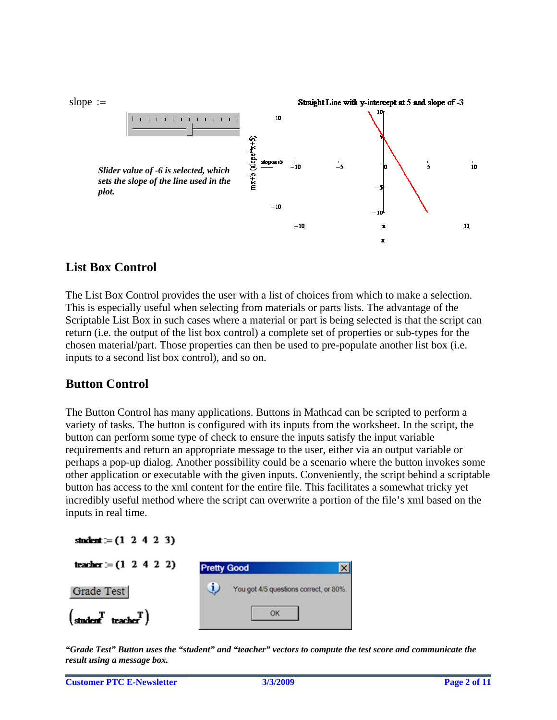

## **List Box Control**

The List Box Control provides the user with a list of choices from which to make a selection. This is especially useful when selecting from materials or parts lists. The advantage of the Scriptable List Box in such cases where a material or part is being selected is that the script can return (i.e. the output of the list box control) a complete set of properties or sub-types for the chosen material/part. Those properties can then be used to pre-populate another list box (i.e. inputs to a second list box control), and so on.

### **Button Control**

The Button Control has many applications. Buttons in Mathcad can be scripted to perform a variety of tasks. The button is configured with its inputs from the worksheet. In the script, the button can perform some type of check to ensure the inputs satisfy the input variable requirements and return an appropriate message to the user, either via an output variable or perhaps a pop-up dialog. Another possibility could be a scenario where the button invokes some other application or executable with the given inputs. Conveniently, the script behind a scriptable button has access to the xml content for the entire file. This facilitates a somewhat tricky yet incredibly useful method where the script can overwrite a portion of the file's xml based on the inputs in real time.

| student := $(1 \ 2 \ 4 \ 2 \ 3)$                                         |                                        |
|--------------------------------------------------------------------------|----------------------------------------|
| teacher $= (1 \ 2 \ 4 \ 2 \ 2)$                                          | <b>Pretty Good</b>                     |
| Grade Test                                                               | You got 4/5 questions correct, or 80%. |
| $\begin{pmatrix} T & T \\ \text{student} & \text{teacher} \end{pmatrix}$ | OK                                     |

*"Grade Test" Button uses the "student" and "teacher" vectors to compute the test score and communicate the result using a message box.*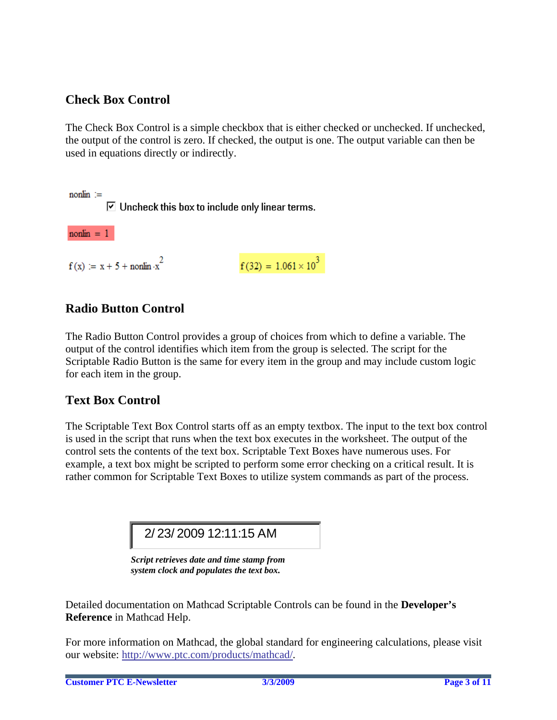## **Check Box Control**

The Check Box Control is a simple checkbox that is either checked or unchecked. If unchecked, the output of the control is zero. If checked, the output is one. The output variable can then be used in equations directly or indirectly.

 $n$ onlin  $=$ 

 $\triangleright$  Uncheck this box to include only linear terms.

 $n$ onlin = 1

 $f(x) := x + 5 + \text{nonlin} \cdot x^2$ 

 $f(32) = 1.061 \times 10^{3}$ 

## **Radio Button Control**

The Radio Button Control provides a group of choices from which to define a variable. The output of the control identifies which item from the group is selected. The script for the Scriptable Radio Button is the same for every item in the group and may include custom logic for each item in the group.

### **Text Box Control**

The Scriptable Text Box Control starts off as an empty textbox. The input to the text box control is used in the script that runs when the text box executes in the worksheet. The output of the control sets the contents of the text box. Scriptable Text Boxes have numerous uses. For example, a text box might be scripted to perform some error checking on a critical result. It is rather common for Scriptable Text Boxes to utilize system commands as part of the process.

2/ 23/ 2009 12:11:15 AM

*Script retrieves date and time stamp from system clock and populates the text box.*

Detailed documentation on Mathcad Scriptable Controls can be found in the **Developer's Reference** in Mathcad Help.

For more information on Mathcad, the global standard for engineering calculations, please visit our website: [http://www.ptc.com/products/mathcad/.](http://www.ptc.com/products/mathcad/)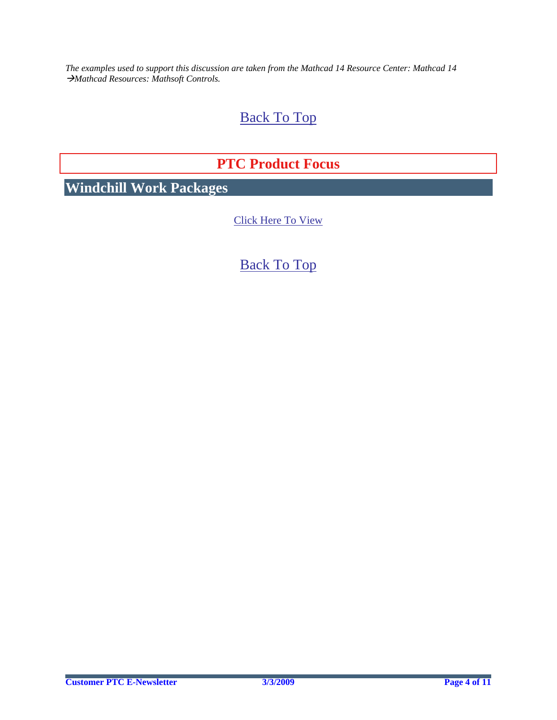<span id="page-3-0"></span>*The examples used to support this discussion are taken from the Mathcad 14 Resource Center: Mathcad 14*  Æ*Mathcad Resources: Mathsoft Controls.* 

## [Back To Top](#page-0-0)

# **PTC Product Focus**

**Windchill Work Packages** 

[Click Here To View](http://members.shaw.ca/jpeng/newsletter/PTC_Technical_Specialists_E-Newsletter_2009_03_enterprise.pdf)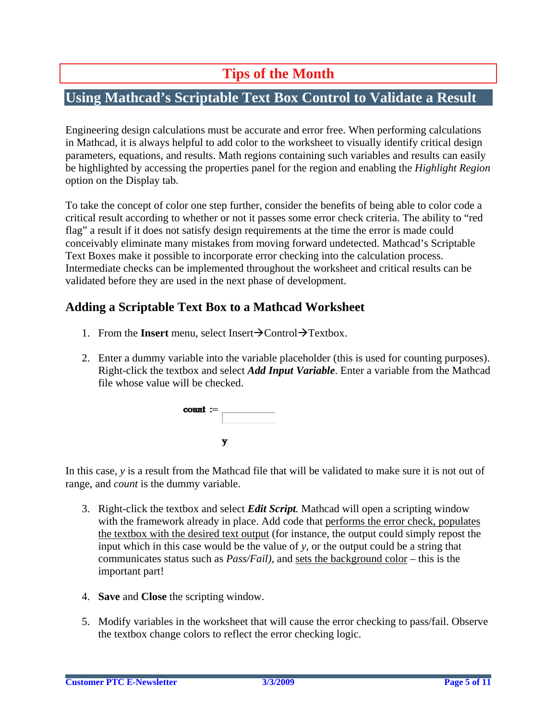# **Tips of the Month**

## <span id="page-4-0"></span>**Using Mathcad's Scriptable Text Box Control to Validate a Result**

Engineering design calculations must be accurate and error free. When performing calculations in Mathcad, it is always helpful to add color to the worksheet to visually identify critical design parameters, equations, and results. Math regions containing such variables and results can easily be highlighted by accessing the properties panel for the region and enabling the *Highlight Region*  option on the Display tab.

To take the concept of color one step further, consider the benefits of being able to color code a critical result according to whether or not it passes some error check criteria. The ability to "red flag" a result if it does not satisfy design requirements at the time the error is made could conceivably eliminate many mistakes from moving forward undetected. Mathcad's Scriptable Text Boxes make it possible to incorporate error checking into the calculation process. Intermediate checks can be implemented throughout the worksheet and critical results can be validated before they are used in the next phase of development.

### **Adding a Scriptable Text Box to a Mathcad Worksheet**

- 1. From the **Insert** menu, select Insert $\rightarrow$ Control $\rightarrow$ Textbox.
- 2. Enter a dummy variable into the variable placeholder (this is used for counting purposes). Right-click the textbox and select *Add Input Variable*. Enter a variable from the Mathcad file whose value will be checked.

| $count :=$ |   |  |
|------------|---|--|
|            | v |  |

In this case, *y* is a result from the Mathcad file that will be validated to make sure it is not out of range, and *count* is the dummy variable.

- 3. Right-click the textbox and select *Edit Script.* Mathcad will open a scripting window with the framework already in place. Add code that performs the error check, populates the textbox with the desired text output (for instance, the output could simply repost the input which in this case would be the value of *y,* or the output could be a string that communicates status such as *Pass/Fail)*, and sets the background color – this is the important part!
- 4. **Save** and **Close** the scripting window.
- 5. Modify variables in the worksheet that will cause the error checking to pass/fail. Observe the textbox change colors to reflect the error checking logic.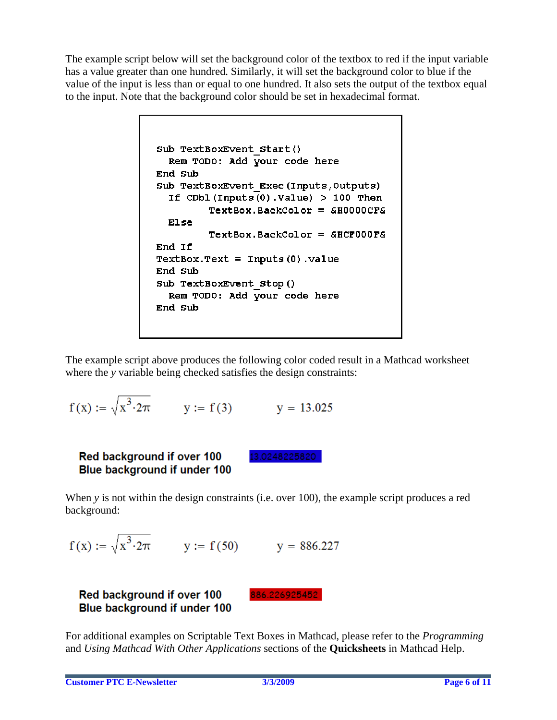The example script below will set the background color of the textbox to red if the input variable has a value greater than one hundred. Similarly, it will set the background color to blue if the value of the input is less than or equal to one hundred. It also sets the output of the textbox equal to the input. Note that the background color should be set in hexadecimal format.

```
Sub TextBoxEvent Start()
  Rem TODO: Add Vour code here
End Sub
Sub TextBoxEvent Exec (Inputs, Outputs)
  If CDbl (Inputs (0). Value) > 100 Then
         TextBox.BackColor = 6H0000CF6Else
         TextBox.BackColor = 6HCF000FAEnd If
TextBox.Fext = Imputs(0).valueEnd Sub
Sub TextBoxEvent Stop()
  Rem TODO: Add your code here
End Sub
```
The example script above produces the following color coded result in a Mathcad worksheet where the *y* variable being checked satisfies the design constraints:

$$
f(x) := \sqrt{x^3 \cdot 2\pi}
$$
 y := f(3) y = 13.025

### Red background if over 100 **Blue background if under 100**

13.0248225820

When *y* is not within the design constraints (i.e. over 100), the example script produces a red background:

$$
f(x) := \sqrt{x^3 \cdot 2\pi}
$$
 y := f(50) y = 886.227

### Red background if over 100 **Blue background if under 100**

886.226925452

For additional examples on Scriptable Text Boxes in Mathcad, please refer to the *Programming* and *Using Mathcad With Other Applications* sections of the **Quicksheets** in Mathcad Help.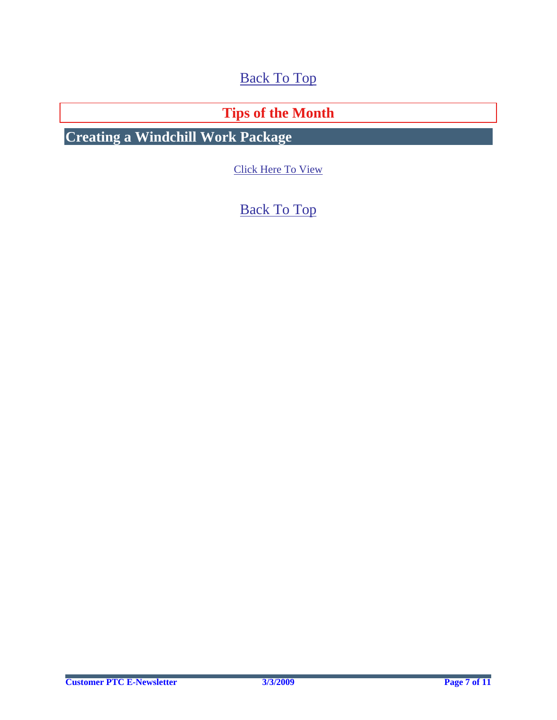[Back To Top](#page-0-0)

**Tips of the Month** 

<span id="page-6-0"></span>**Creating a Windchill Work Package** 

[Click Here To View](http://members.shaw.ca/jpeng/newsletter/PTC_Technical_Specialists_E-Newsletter_2009_03_enterprise.pdf)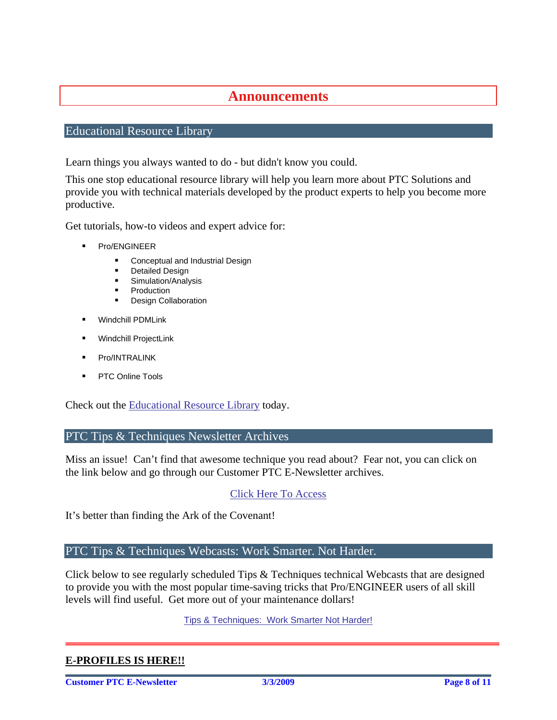## **Announcements**

#### <span id="page-7-0"></span>Educational Resource Library

Learn things you always wanted to do - but didn't know you could.

This one stop educational resource library will help you learn more about PTC Solutions and provide you with technical materials developed by the product experts to help you become more productive.

Get tutorials, how-to videos and expert advice for:

- Pro/ENGINEER
	- **EXECONCEPTED AND INCORDER** Conceptual and Industrial Design
	- **•** Detailed Design
	- **Simulation/Analysis**
	- Production
	- Design Collaboration
- Windchill PDMLink
- Windchill ProjectLink
- Pro/INTRALINK
- PTC Online Tools

Check out the [Educational Resource Library](http://www.ptc.com/community/proewf/newtools/tutorials.htm) today.

PTC Tips & Techniques Newsletter Archives

Miss an issue! Can't find that awesome technique you read about? Fear not, you can click on the link below and go through our Customer PTC E-Newsletter archives.

[Click Here To Access](http://www.ptc.com/carezone/archive/index.htm)

It's better than finding the Ark of the Covenant!

PTC Tips & Techniques Webcasts: Work Smarter. Not Harder.

Click below to see regularly scheduled Tips & Techniques technical Webcasts that are designed to provide you with the most popular time-saving tricks that Pro/ENGINEER users of all skill levels will find useful. Get more out of your maintenance dollars!

[Tips & Techniques: Work Smarter Not Harder!](http://www.ptc.com/appserver/it/icm/cda/template_lib/events/series.jsp?&im_dbkey=11442&icg_dbkey=141)

#### **E-PROFILES IS HERE!!**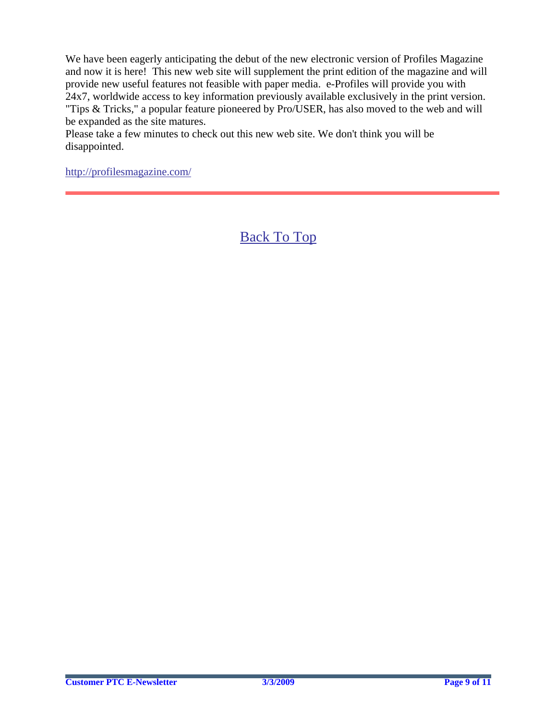We have been eagerly anticipating the debut of the new electronic version of Profiles Magazine and now it is here! This new web site will supplement the print edition of the magazine and will provide new useful features not feasible with paper media. e-Profiles will provide you with 24x7, worldwide access to key information previously available exclusively in the print version. "Tips & Tricks," a popular feature pioneered by Pro/USER, has also moved to the web and will be expanded as the site matures.

Please take a few minutes to check out this new web site. We don't think you will be disappointed.

<http://profilesmagazine.com/>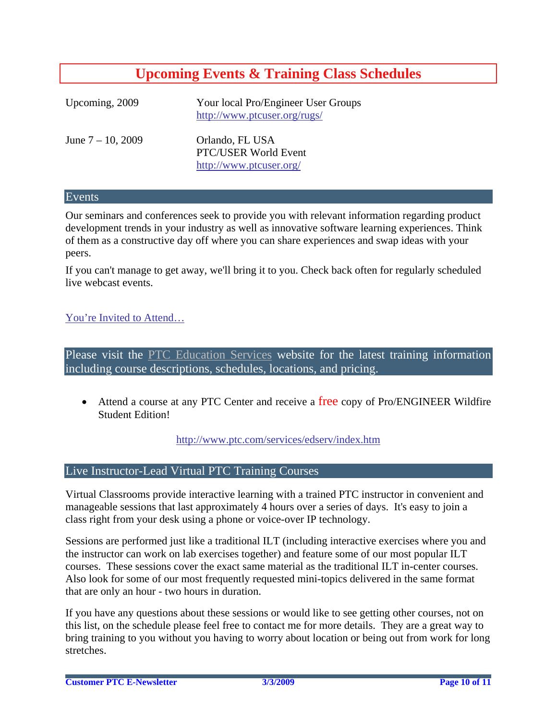## **Upcoming Events & Training Class Schedules**

<span id="page-9-0"></span>

| Upcoming, 2009       | Your local Pro/Engineer User Groups<br>http://www.ptcuser.org/rugs/ |
|----------------------|---------------------------------------------------------------------|
| June $7 - 10$ , 2009 | Orlando, FL USA<br>PTC/USER World Event<br>http://www.ptcuser.org/  |

#### Events

Our seminars and conferences seek to provide you with relevant information regarding product development trends in your industry as well as innovative software learning experiences. Think of them as a constructive day off where you can share experiences and swap ideas with your peers.

If you can't manage to get away, we'll bring it to you. Check back often for regularly scheduled live webcast events.

#### [You're Invited to Attend…](http://www.ptc.com/company/news/events/index.htm)

Please visit the [PTC Education Services](http://www.ptc.com/services/edserv/) website for the latest training information including course descriptions, schedules, locations, and pricing.

• Attend a course at any PTC Center and receive a free copy of Pro/ENGINEER Wildfire Student Edition!

<http://www.ptc.com/services/edserv/index.htm>

#### Live Instructor-Lead Virtual PTC Training Courses

Virtual Classrooms provide interactive learning with a trained PTC instructor in convenient and manageable sessions that last approximately 4 hours over a series of days. It's easy to join a class right from your desk using a phone or voice-over IP technology.

Sessions are performed just like a traditional ILT (including interactive exercises where you and the instructor can work on lab exercises together) and feature some of our most popular ILT courses. These sessions cover the exact same material as the traditional ILT in-center courses. Also look for some of our most frequently requested mini-topics delivered in the same format that are only an hour - two hours in duration.

If you have any questions about these sessions or would like to see getting other courses, not on this list, on the schedule please feel free to contact me for more details. They are a great way to bring training to you without you having to worry about location or being out from work for long stretches.